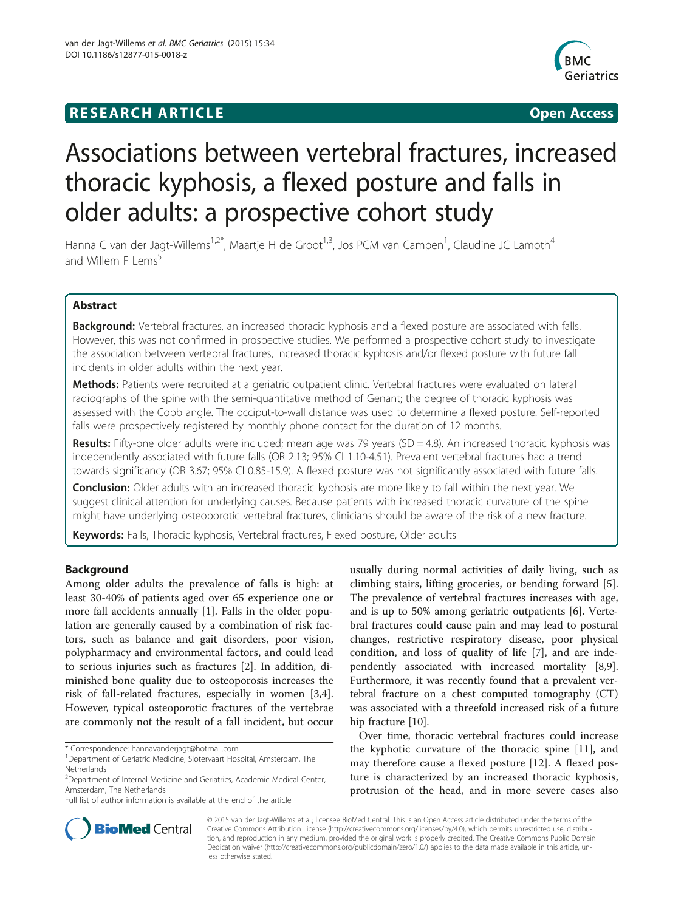## **RESEARCH ARTICLE Example 2018 12:00 Department of the Contract Open Access**



# Associations between vertebral fractures, increased thoracic kyphosis, a flexed posture and falls in older adults: a prospective cohort study

Hanna C van der Jagt-Willems<sup>1,2\*</sup>, Maartje H de Groot<sup>1,3</sup>, Jos PCM van Campen<sup>1</sup>, Claudine JC Lamoth<sup>4</sup> and Willem  $F \perp e m s^5$ 

## Abstract

Background: Vertebral fractures, an increased thoracic kyphosis and a flexed posture are associated with falls. However, this was not confirmed in prospective studies. We performed a prospective cohort study to investigate the association between vertebral fractures, increased thoracic kyphosis and/or flexed posture with future fall incidents in older adults within the next year.

Methods: Patients were recruited at a geriatric outpatient clinic. Vertebral fractures were evaluated on lateral radiographs of the spine with the semi-quantitative method of Genant; the degree of thoracic kyphosis was assessed with the Cobb angle. The occiput-to-wall distance was used to determine a flexed posture. Self-reported falls were prospectively registered by monthly phone contact for the duration of 12 months.

Results: Fifty-one older adults were included; mean age was 79 years (SD = 4.8). An increased thoracic kyphosis was independently associated with future falls (OR 2.13; 95% CI 1.10-4.51). Prevalent vertebral fractures had a trend towards significancy (OR 3.67; 95% CI 0.85-15.9). A flexed posture was not significantly associated with future falls.

**Conclusion:** Older adults with an increased thoracic kyphosis are more likely to fall within the next year. We suggest clinical attention for underlying causes. Because patients with increased thoracic curvature of the spine might have underlying osteoporotic vertebral fractures, clinicians should be aware of the risk of a new fracture.

Keywords: Falls, Thoracic kyphosis, Vertebral fractures, Flexed posture, Older adults

## Background

Among older adults the prevalence of falls is high: at least 30-40% of patients aged over 65 experience one or more fall accidents annually [\[1](#page-4-0)]. Falls in the older population are generally caused by a combination of risk factors, such as balance and gait disorders, poor vision, polypharmacy and environmental factors, and could lead to serious injuries such as fractures [[2\]](#page-4-0). In addition, diminished bone quality due to osteoporosis increases the risk of fall-related fractures, especially in women [\[3,4](#page-5-0)]. However, typical osteoporotic fractures of the vertebrae are commonly not the result of a fall incident, but occur

Full list of author information is available at the end of the article

usually during normal activities of daily living, such as climbing stairs, lifting groceries, or bending forward [\[5](#page-5-0)]. The prevalence of vertebral fractures increases with age, and is up to 50% among geriatric outpatients [[6\]](#page-5-0). Vertebral fractures could cause pain and may lead to postural changes, restrictive respiratory disease, poor physical condition, and loss of quality of life [\[7](#page-5-0)], and are independently associated with increased mortality [\[8,9](#page-5-0)]. Furthermore, it was recently found that a prevalent vertebral fracture on a chest computed tomography (CT) was associated with a threefold increased risk of a future hip fracture [[10\]](#page-5-0).

Over time, thoracic vertebral fractures could increase the kyphotic curvature of the thoracic spine [[11](#page-5-0)], and may therefore cause a flexed posture [\[12](#page-5-0)]. A flexed posture is characterized by an increased thoracic kyphosis, protrusion of the head, and in more severe cases also



© 2015 van der Jagt-Willems et al.; licensee BioMed Central. This is an Open Access article distributed under the terms of the Creative Commons Attribution License (<http://creativecommons.org/licenses/by/4.0>), which permits unrestricted use, distribution, and reproduction in any medium, provided the original work is properly credited. The Creative Commons Public Domain Dedication waiver [\(http://creativecommons.org/publicdomain/zero/1.0/](http://creativecommons.org/publicdomain/zero/1.0/)) applies to the data made available in this article, unless otherwise stated.

<sup>\*</sup> Correspondence: [hannavanderjagt@hotmail.com](mailto:hannavanderjagt@hotmail.com) <sup>1</sup>

<sup>&</sup>lt;sup>1</sup>Department of Geriatric Medicine, Slotervaart Hospital, Amsterdam, The **Netherlands** 

<sup>&</sup>lt;sup>2</sup>Department of Internal Medicine and Geriatrics, Academic Medical Center, Amsterdam, The Netherlands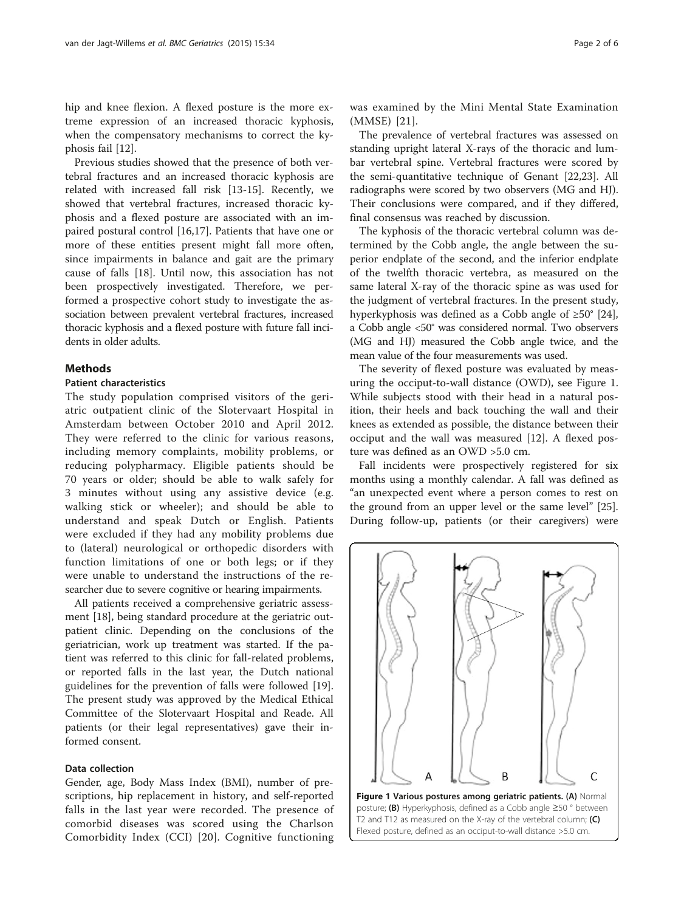hip and knee flexion. A flexed posture is the more extreme expression of an increased thoracic kyphosis, when the compensatory mechanisms to correct the kyphosis fail [[12\]](#page-5-0).

Previous studies showed that the presence of both vertebral fractures and an increased thoracic kyphosis are related with increased fall risk [[13](#page-5-0)-[15\]](#page-5-0). Recently, we showed that vertebral fractures, increased thoracic kyphosis and a flexed posture are associated with an impaired postural control [\[16,17](#page-5-0)]. Patients that have one or more of these entities present might fall more often, since impairments in balance and gait are the primary cause of falls [\[18](#page-5-0)]. Until now, this association has not been prospectively investigated. Therefore, we performed a prospective cohort study to investigate the association between prevalent vertebral fractures, increased thoracic kyphosis and a flexed posture with future fall incidents in older adults.

## **Methods**

#### Patient characteristics

The study population comprised visitors of the geriatric outpatient clinic of the Slotervaart Hospital in Amsterdam between October 2010 and April 2012. They were referred to the clinic for various reasons, including memory complaints, mobility problems, or reducing polypharmacy. Eligible patients should be 70 years or older; should be able to walk safely for 3 minutes without using any assistive device (e.g. walking stick or wheeler); and should be able to understand and speak Dutch or English. Patients were excluded if they had any mobility problems due to (lateral) neurological or orthopedic disorders with function limitations of one or both legs; or if they were unable to understand the instructions of the researcher due to severe cognitive or hearing impairments.

All patients received a comprehensive geriatric assessment [\[18\]](#page-5-0), being standard procedure at the geriatric outpatient clinic. Depending on the conclusions of the geriatrician, work up treatment was started. If the patient was referred to this clinic for fall-related problems, or reported falls in the last year, the Dutch national guidelines for the prevention of falls were followed [\[19](#page-5-0)]. The present study was approved by the Medical Ethical Committee of the Slotervaart Hospital and Reade. All patients (or their legal representatives) gave their informed consent.

#### Data collection

Gender, age, Body Mass Index (BMI), number of prescriptions, hip replacement in history, and self-reported falls in the last year were recorded. The presence of comorbid diseases was scored using the Charlson Comorbidity Index (CCI) [[20\]](#page-5-0). Cognitive functioning was examined by the Mini Mental State Examination (MMSE) [\[21\]](#page-5-0).

The prevalence of vertebral fractures was assessed on standing upright lateral X-rays of the thoracic and lumbar vertebral spine. Vertebral fractures were scored by the semi-quantitative technique of Genant [\[22,23](#page-5-0)]. All radiographs were scored by two observers (MG and HJ). Their conclusions were compared, and if they differed, final consensus was reached by discussion.

The kyphosis of the thoracic vertebral column was determined by the Cobb angle, the angle between the superior endplate of the second, and the inferior endplate of the twelfth thoracic vertebra, as measured on the same lateral X-ray of the thoracic spine as was used for the judgment of vertebral fractures. In the present study, hyperkyphosis was defined as a Cobb angle of ≥50° [\[24](#page-5-0)], a Cobb angle <50° was considered normal. Two observers (MG and HJ) measured the Cobb angle twice, and the mean value of the four measurements was used.

The severity of flexed posture was evaluated by measuring the occiput-to-wall distance (OWD), see Figure 1. While subjects stood with their head in a natural position, their heels and back touching the wall and their knees as extended as possible, the distance between their occiput and the wall was measured [[12\]](#page-5-0). A flexed posture was defined as an OWD >5.0 cm.

Fall incidents were prospectively registered for six months using a monthly calendar. A fall was defined as "an unexpected event where a person comes to rest on the ground from an upper level or the same level" [\[25](#page-5-0)]. During follow-up, patients (or their caregivers) were

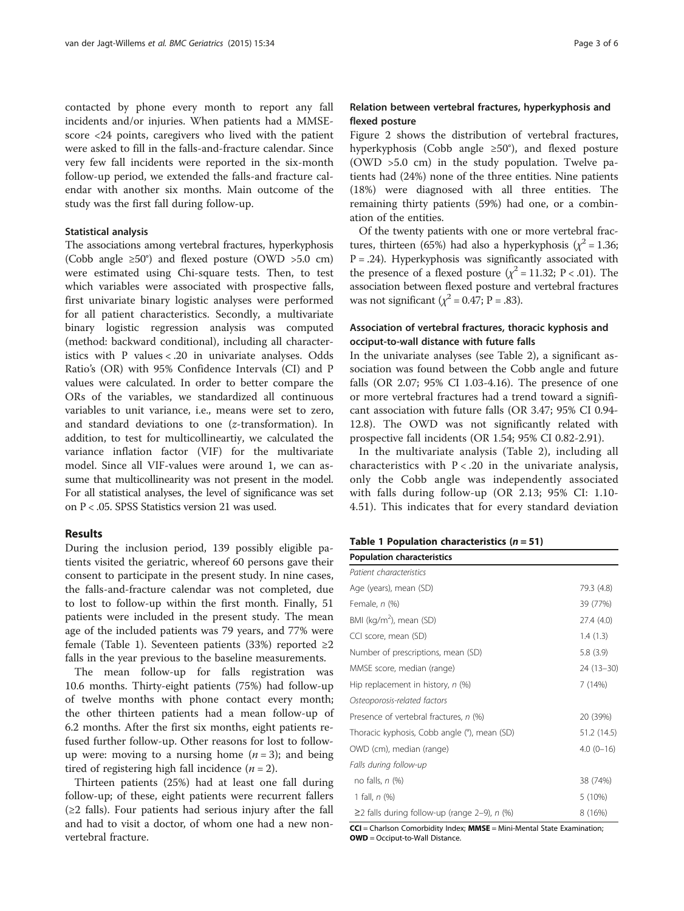contacted by phone every month to report any fall incidents and/or injuries. When patients had a MMSEscore <24 points, caregivers who lived with the patient were asked to fill in the falls-and-fracture calendar. Since very few fall incidents were reported in the six-month follow-up period, we extended the falls-and fracture calendar with another six months. Main outcome of the study was the first fall during follow-up.

#### Statistical analysis

The associations among vertebral fractures, hyperkyphosis (Cobb angle ≥50°) and flexed posture (OWD >5.0 cm) were estimated using Chi-square tests. Then, to test which variables were associated with prospective falls, first univariate binary logistic analyses were performed for all patient characteristics. Secondly, a multivariate binary logistic regression analysis was computed (method: backward conditional), including all characteristics with P values < .20 in univariate analyses. Odds Ratio's (OR) with 95% Confidence Intervals (CI) and P values were calculated. In order to better compare the ORs of the variables, we standardized all continuous variables to unit variance, i.e., means were set to zero, and standard deviations to one (z-transformation). In addition, to test for multicollineartiy, we calculated the variance inflation factor (VIF) for the multivariate model. Since all VIF-values were around 1, we can assume that multicollinearity was not present in the model. For all statistical analyses, the level of significance was set on P < .05. SPSS Statistics version 21 was used.

#### Results

During the inclusion period, 139 possibly eligible patients visited the geriatric, whereof 60 persons gave their consent to participate in the present study. In nine cases, the falls-and-fracture calendar was not completed, due to lost to follow-up within the first month. Finally, 51 patients were included in the present study. The mean age of the included patients was 79 years, and 77% were female (Table 1). Seventeen patients (33%) reported ≥2 falls in the year previous to the baseline measurements.

The mean follow-up for falls registration was 10.6 months. Thirty-eight patients (75%) had follow-up of twelve months with phone contact every month; the other thirteen patients had a mean follow-up of 6.2 months. After the first six months, eight patients refused further follow-up. Other reasons for lost to followup were: moving to a nursing home  $(n = 3)$ ; and being tired of registering high fall incidence  $(n = 2)$ .

Thirteen patients (25%) had at least one fall during follow-up; of these, eight patients were recurrent fallers  $(\geq 2$  falls). Four patients had serious injury after the fall and had to visit a doctor, of whom one had a new nonvertebral fracture.

## Relation between vertebral fractures, hyperkyphosis and flexed posture

Figure [2](#page-3-0) shows the distribution of vertebral fractures, hyperkyphosis (Cobb angle ≥50°), and flexed posture (OWD >5.0 cm) in the study population. Twelve patients had (24%) none of the three entities. Nine patients (18%) were diagnosed with all three entities. The remaining thirty patients (59%) had one, or a combination of the entities.

Of the twenty patients with one or more vertebral fractures, thirteen (65%) had also a hyperkyphosis ( $\chi^2$  = 1.36;  $P = .24$ ). Hyperkyphosis was significantly associated with the presence of a flexed posture ( $\chi^2$  = 11.32; P < .01). The association between flexed posture and vertebral fractures was not significant ( $\chi^2$  = 0.47; P = .83).

## Association of vertebral fractures, thoracic kyphosis and occiput-to-wall distance with future falls

In the univariate analyses (see Table [2\)](#page-3-0), a significant association was found between the Cobb angle and future falls (OR 2.07; 95% CI 1.03-4.16). The presence of one or more vertebral fractures had a trend toward a significant association with future falls (OR 3.47; 95% CI 0.94- 12.8). The OWD was not significantly related with prospective fall incidents (OR 1.54; 95% CI 0.82-2.91).

In the multivariate analysis (Table [2\)](#page-3-0), including all characteristics with  $P < .20$  in the univariate analysis, only the Cobb angle was independently associated with falls during follow-up (OR 2.13; 95% CI: 1.10- 4.51). This indicates that for every standard deviation

| Table 1 Population characteristics $(n = 51)$ |
|-----------------------------------------------|
|                                               |

| <b>Population characteristics</b>                  |             |
|----------------------------------------------------|-------------|
| Patient characteristics                            |             |
| Age (years), mean (SD)                             | 79.3 (4.8)  |
| Female, n (%)                                      | 39 (77%)    |
| BMI (kg/m <sup>2</sup> ), mean (SD)                | 27.4 (4.0)  |
| CCI score, mean (SD)                               | 1.4(1.3)    |
| Number of prescriptions, mean (SD)                 | 5.8(3.9)    |
| MMSE score, median (range)                         | 24 (13–30)  |
| Hip replacement in history, n (%)                  | 7(14%)      |
| Osteoporosis-related factors                       |             |
| Presence of vertebral fractures, n (%)             | 20 (39%)    |
| Thoracic kyphosis, Cobb angle (°), mean (SD)       | 51.2 (14.5) |
| OWD (cm), median (range)                           | $4.0(0-16)$ |
| Falls during follow-up                             |             |
| no falls, $n$ (%)                                  | 38 (74%)    |
| 1 fall, $n$ (%)                                    | 5 (10%)     |
| $\geq$ 2 falls during follow-up (range 2-9), n (%) | 8 (16%)     |

CCI = Charlson Comorbidity Index; MMSE = Mini-Mental State Examination; OWD = Occiput-to-Wall Distance.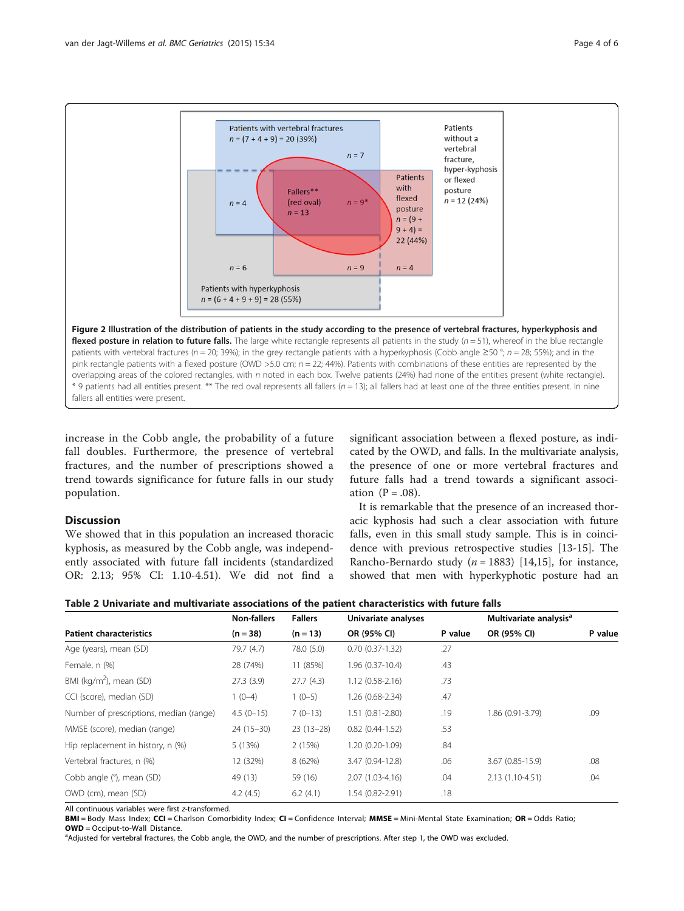<span id="page-3-0"></span>

increase in the Cobb angle, the probability of a future fall doubles. Furthermore, the presence of vertebral fractures, and the number of prescriptions showed a trend towards significance for future falls in our study population.

## Discussion

We showed that in this population an increased thoracic kyphosis, as measured by the Cobb angle, was independently associated with future fall incidents (standardized OR: 2.13; 95% CI: 1.10-4.51). We did not find a

significant association between a flexed posture, as indicated by the OWD, and falls. In the multivariate analysis, the presence of one or more vertebral fractures and future falls had a trend towards a significant association  $(P=.08)$ .

It is remarkable that the presence of an increased thoracic kyphosis had such a clear association with future falls, even in this small study sample. This is in coincidence with previous retrospective studies [\[13-15](#page-5-0)]. The Rancho-Bernardo study ( $n = 1883$ ) [[14](#page-5-0),[15](#page-5-0)], for instance, showed that men with hyperkyphotic posture had an

|                                         | <b>Non-fallers</b> | <b>Fallers</b> | Univariate analyses |         | Multivariate analysis <sup>a</sup> |         |
|-----------------------------------------|--------------------|----------------|---------------------|---------|------------------------------------|---------|
| <b>Patient characteristics</b>          | $(n = 38)$         | $(n = 13)$     | OR (95% CI)         | P value | OR (95% CI)                        | P value |
| Age (years), mean (SD)                  | 79.7 (4.7)         | 78.0 (5.0)     | $0.70(0.37-1.32)$   | .27     |                                    |         |
| Female, n (%)                           | 28 (74%)           | 11 (85%)       | 1.96 (0.37-10.4)    | .43     |                                    |         |
| BMI (kg/m <sup>2</sup> ), mean (SD)     | 27.3(3.9)          | 27.7(4.3)      | $1.12(0.58-2.16)$   | .73     |                                    |         |
| CCI (score), median (SD)                | $1(0-4)$           | $1(0-5)$       | 1.26 (0.68-2.34)    | .47     |                                    |         |
| Number of prescriptions, median (range) | $4.5(0-15)$        | $7(0-13)$      | 1.51 (0.81-2.80)    | .19     | 1.86 (0.91-3.79)                   | .09     |
| MMSE (score), median (range)            | $24(15-30)$        | $23(13-28)$    | $0.82(0.44-1.52)$   | .53     |                                    |         |
| Hip replacement in history, n (%)       | 5 (13%)            | 2 (15%)        | 1.20 (0.20-1.09)    | .84     |                                    |         |
| Vertebral fractures, n (%)              | 12 (32%)           | 8 (62%)        | 3.47 (0.94-12.8)    | .06     | 3.67 (0.85-15.9)                   | .08     |
| Cobb angle (°), mean (SD)               | 49 (13)            | 59 (16)        | 2.07 (1.03-4.16)    | .04     | 2.13 (1.10-4.51)                   | .04     |
| OWD (cm), mean (SD)                     | 4.2(4.5)           | 6.2(4.1)       | 1.54 (0.82-2.91)    | .18     |                                    |         |

All continuous variables were first z-transformed.

BMI = Body Mass Index; CCI = Charlson Comorbidity Index; CI = Confidence Interval; MMSE = Mini-Mental State Examination; OR = Odds Ratio;  $OWD = Occiput-to-Wall Distance.$ 

aAdjusted for vertebral fractures, the Cobb angle, the OWD, and the number of prescriptions. After step 1, the OWD was excluded.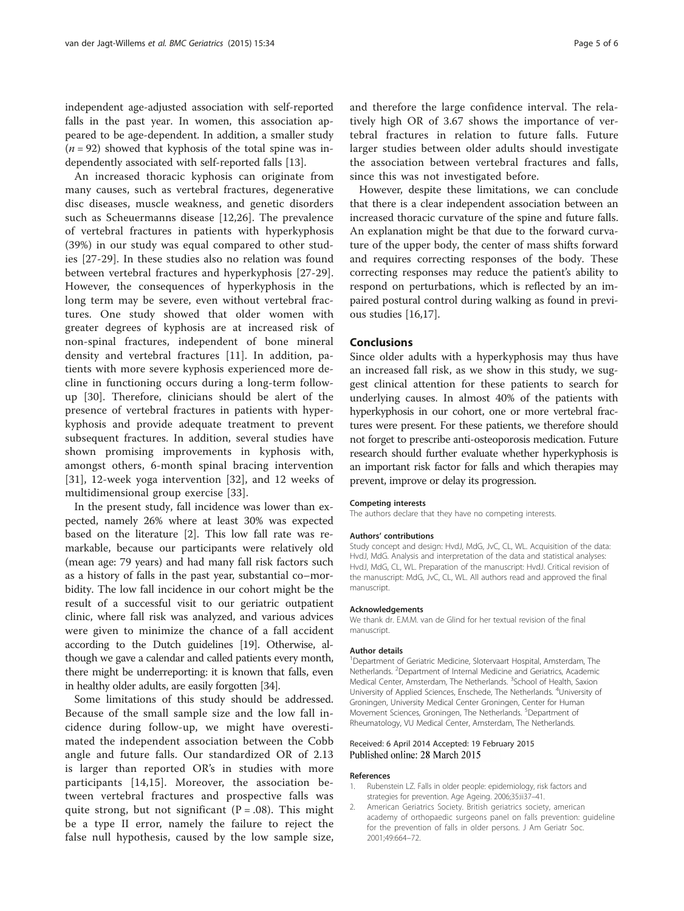<span id="page-4-0"></span>independent age-adjusted association with self-reported falls in the past year. In women, this association appeared to be age-dependent. In addition, a smaller study  $(n = 92)$  showed that kyphosis of the total spine was independently associated with self-reported falls [[13\]](#page-5-0).

An increased thoracic kyphosis can originate from many causes, such as vertebral fractures, degenerative disc diseases, muscle weakness, and genetic disorders such as Scheuermanns disease [[12,26](#page-5-0)]. The prevalence of vertebral fractures in patients with hyperkyphosis (39%) in our study was equal compared to other studies [[27-29](#page-5-0)]. In these studies also no relation was found between vertebral fractures and hyperkyphosis [\[27](#page-5-0)-[29](#page-5-0)]. However, the consequences of hyperkyphosis in the long term may be severe, even without vertebral fractures. One study showed that older women with greater degrees of kyphosis are at increased risk of non-spinal fractures, independent of bone mineral density and vertebral fractures [[11\]](#page-5-0). In addition, patients with more severe kyphosis experienced more decline in functioning occurs during a long-term followup [\[30](#page-5-0)]. Therefore, clinicians should be alert of the presence of vertebral fractures in patients with hyperkyphosis and provide adequate treatment to prevent subsequent fractures. In addition, several studies have shown promising improvements in kyphosis with, amongst others, 6-month spinal bracing intervention [[31\]](#page-5-0), 12-week yoga intervention [\[32](#page-5-0)], and 12 weeks of multidimensional group exercise [[33\]](#page-5-0).

In the present study, fall incidence was lower than expected, namely 26% where at least 30% was expected based on the literature [2]. This low fall rate was remarkable, because our participants were relatively old (mean age: 79 years) and had many fall risk factors such as a history of falls in the past year, substantial co–morbidity. The low fall incidence in our cohort might be the result of a successful visit to our geriatric outpatient clinic, where fall risk was analyzed, and various advices were given to minimize the chance of a fall accident according to the Dutch guidelines [[19](#page-5-0)]. Otherwise, although we gave a calendar and called patients every month, there might be underreporting: it is known that falls, even in healthy older adults, are easily forgotten [[34](#page-5-0)].

Some limitations of this study should be addressed. Because of the small sample size and the low fall incidence during follow-up, we might have overestimated the independent association between the Cobb angle and future falls. Our standardized OR of 2.13 is larger than reported OR's in studies with more participants [\[14](#page-5-0),[15\]](#page-5-0). Moreover, the association between vertebral fractures and prospective falls was quite strong, but not significant  $(P = .08)$ . This might be a type II error, namely the failure to reject the false null hypothesis, caused by the low sample size,

and therefore the large confidence interval. The relatively high OR of 3.67 shows the importance of vertebral fractures in relation to future falls. Future larger studies between older adults should investigate the association between vertebral fractures and falls, since this was not investigated before.

However, despite these limitations, we can conclude that there is a clear independent association between an increased thoracic curvature of the spine and future falls. An explanation might be that due to the forward curvature of the upper body, the center of mass shifts forward and requires correcting responses of the body. These correcting responses may reduce the patient's ability to respond on perturbations, which is reflected by an impaired postural control during walking as found in previous studies [\[16,17\]](#page-5-0).

#### Conclusions

Since older adults with a hyperkyphosis may thus have an increased fall risk, as we show in this study, we suggest clinical attention for these patients to search for underlying causes. In almost 40% of the patients with hyperkyphosis in our cohort, one or more vertebral fractures were present. For these patients, we therefore should not forget to prescribe anti-osteoporosis medication. Future research should further evaluate whether hyperkyphosis is an important risk factor for falls and which therapies may prevent, improve or delay its progression.

#### Competing interests

The authors declare that they have no competing interests.

#### Authors' contributions

Study concept and design: HvdJ, MdG, JvC, CL, WL. Acquisition of the data: HvdJ, MdG. Analysis and interpretation of the data and statistical analyses: HvdJ, MdG, CL, WL. Preparation of the manuscript: HvdJ. Critical revision of the manuscript: MdG, JvC, CL, WL. All authors read and approved the final manuscript.

#### Acknowledgements

We thank dr. E.M.M. van de Glind for her textual revision of the final manuscript.

#### Author details

<sup>1</sup>Department of Geriatric Medicine, Slotervaart Hospital, Amsterdam, The Netherlands. <sup>2</sup>Department of Internal Medicine and Geriatrics, Academic Medical Center, Amsterdam, The Netherlands. <sup>3</sup>School of Health, Saxion University of Applied Sciences, Enschede, The Netherlands. <sup>4</sup>University of Groningen, University Medical Center Groningen, Center for Human Movement Sciences, Groningen, The Netherlands. <sup>5</sup>Department of Rheumatology, VU Medical Center, Amsterdam, The Netherlands.

#### Received: 6 April 2014 Accepted: 19 February 2015 Published online: 28 March 2015

#### References

- 1. Rubenstein LZ. Falls in older people: epidemiology, risk factors and strategies for prevention. Age Ageing. 2006;35:ii37–41.
- 2. American Geriatrics Society. British geriatrics society, american academy of orthopaedic surgeons panel on falls prevention: guideline for the prevention of falls in older persons. J Am Geriatr Soc. 2001;49:664–72.